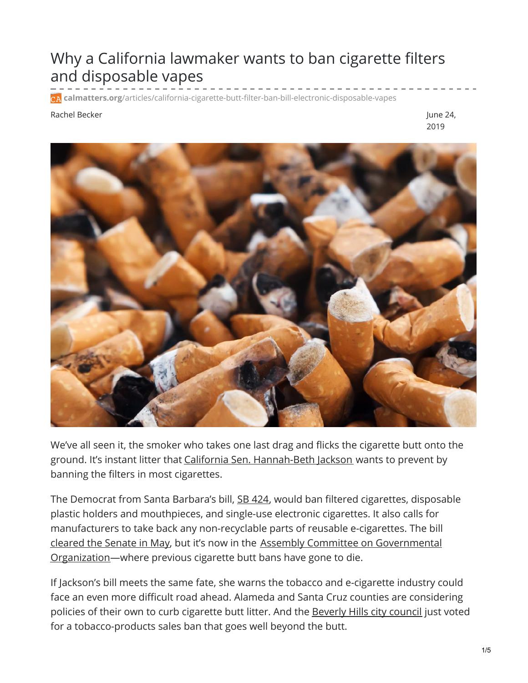## Why a California lawmaker wants to ban cigarette filters and disposable vapes

**calmatters.org**[/articles/california-cigarette-butt-filter-ban-bill-electronic-disposable-vapes](https://calmatters.org/articles/california-cigarette-butt-filter-ban-bill-electronic-disposable-vapes/)

## Rachel Becker June 24, and the set of the set of the set of the set of the set of the set of the set of the set of the set of the set of the set of the set of the set of the set of the set of the set of the set of the set

2019



We've all seen it, the smoker who takes one last drag and flicks the cigarette butt onto the ground. It's instant litter that California Sen. [Hannah-Beth](https://sd19.senate.ca.gov/biography) Jackson wants to prevent by banning the filters in most cigarettes.

The Democrat from Santa Barbara's bill, SB [424](https://leginfo.legislature.ca.gov/faces/billCompareClient.xhtml?bill_id=201920200SB424), would ban filtered cigarettes, disposable plastic holders and mouthpieces, and single-use electronic cigarettes. It also calls for manufacturers to take back any non-recyclable parts of reusable e-cigarettes. The bill [cleared](https://sd19.senate.ca.gov/news/2019-05-23-jackson-bill-combat-tobacco-waste-passes-senate-floor) the Senate in May, but it's now in the Assembly Committee on Governmental [Organization—where](https://agov.assembly.ca.gov/) previous cigarette butt bans have gone to die.

If Jackson's bill meets the same fate, she warns the tobacco and e-cigarette industry could face an even more difficult road ahead. Alameda and Santa Cruz counties are considering policies of their own to curb cigarette butt litter. And the [Beverly](https://www.cnbc.com/2019/06/05/beverly-hills-council-approves-sweeping-ban-on-most-tobacco-sales.html) Hills city council just voted for a tobacco-products sales ban that goes well beyond the butt.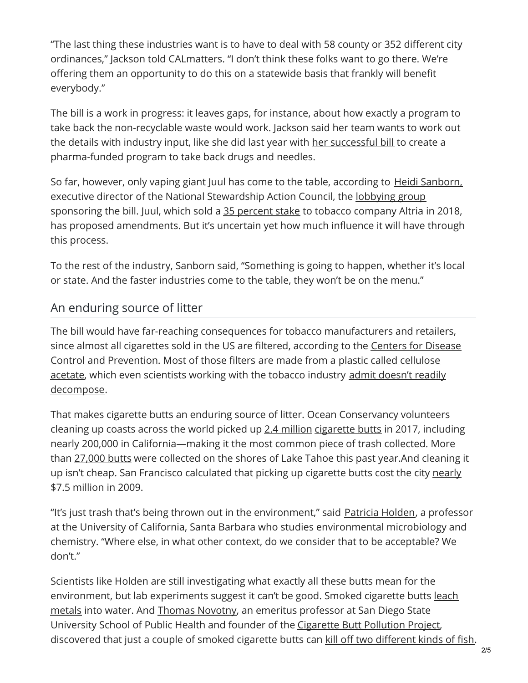"The last thing these industries want is to have to deal with 58 county or 352 different city ordinances," Jackson told CALmatters. "I don't think these folks want to go there. We're offering them an opportunity to do this on a statewide basis that frankly will benefit everybody."

The bill is a work in progress: it leaves gaps, for instance, about how exactly a program to take back the non-recyclable waste would work. Jackson said her team wants to work out the details with industry input, like she did last year with her [successful](https://sd19.senate.ca.gov/news/2018-10-01-governor-signs-jackson-bill-create-first-statewide-industry-funded-drug-needles-take) bill to create a pharma-funded program to take back drugs and needles.

So far, however, only vaping giant Juul has come to the table, according to Heidi [Sanborn,](https://www.linkedin.com/in/heidi-sanborn/) executive director of the National Stewardship Action Council, the <u>[lobbying](http://cal-access.sos.ca.gov/Lobbying/Employers/Detail.aspx?id=1381315) group</u> sponsoring the bill. Juul, which sold a 35 [percent](https://www.theverge.com/2018/12/20/18148868/juul-altria-tobacco-ecigarettes-vaping-business) stake to tobacco company Altria in 2018, has proposed amendments. But it's uncertain yet how much influence it will have through this process.

To the rest of the industry, Sanborn said, "Something is going to happen, whether it's local or state. And the faster industries come to the table, they won't be on the menu."

## An enduring source of litter

The bill would have far-reaching consequences for tobacco manufacturers and retailers, since almost all cigarettes sold in the US are filtered, according to the Centers for Disease Control and [Prevention.](https://www.chemistryworld.com/podcasts/cellulose-acetate/6414.article) Most of those [filters](http://www.longwood.edu/cleanva/cigbuttfilters.htm) are made from a plastic called cellulose acetate, which even scientists working with the tobacco industry admit doesn't readily [decompose.](https://www.mdpi.com/2073-4344/7/10/287/htm)

That makes cigarette butts an enduring source of litter. Ocean Conservancy volunteers cleaning up coasts across the world picked up 2.4 [million](https://oceanconservancy.org/wp-content/uploads/2018/07/Building-A-Clean-Swell.pdf) [cigarette](https://oceanconservancy.org/wp-content/uploads/2018/07/Building-A-Clean-Swell.pdf) butts in 2017, including nearly 200,000 in California—making it the most common piece of trash collected. More than [27,000](https://sanfrancisco.cbslocal.com/2019/06/23/tahoe-cigarette-butt-litter-canisters/) butts were collected on the shores of Lake Tahoe this past year.And cleaning it up isn't cheap. San Francisco [calculated](https://www.sfpublicworks.org/sites/default/files/tobacco_litter_study_hecg_062209%5B1%5D.pdf) that picking up cigarette butts cost the city nearly \$7.5 million in 2009.

"It's just trash that's being thrown out in the environment," said [Patricia](https://www.bren.ucsb.edu/people/Faculty/patricia_holden.htm) Holden, a professor at the University of California, Santa Barbara who studies environmental microbiology and chemistry. "Where else, in what other context, do we consider that to be acceptable? We don't."

Scientists like Holden are still investigating what exactly all these butts mean for the [environment,](https://tobaccocontrol.bmj.com/content/20/Suppl_1/i30.info) but lab experiments suggest it can't be good. Smoked cigarette butts leach metals into water. And Thomas [Novotny](https://publichealth.sdsu.edu/people/thomas-novotny/), an emeritus professor at San Diego State University School of Public Health and founder of the [Cigarette](https://www.cigwaste.org/) Butt Pollution Project, discovered that just a couple of smoked cigarette butts can kill off two [different](https://tobaccocontrol.bmj.com/content/tobaccocontrol/20/Suppl_1/i25.full.pdf) kinds of fish.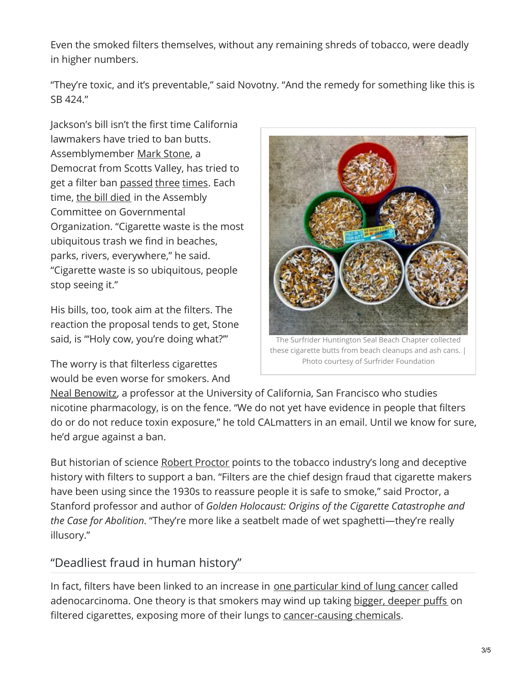Even the smoked filters themselves, without any remaining shreds of tobacco, were deadly in higher numbers.

"They're toxic, and it's preventable," said Novotny. "And the remedy for something like this is SB 424."

Jackson's bill isn't the first time California lawmakers have tried to ban butts. Assemblymember Mark [Stone](https://a29.asmdc.org/), a Democrat from Scotts Valley, has tried to get a filter ban [passed](https://leginfo.legislature.ca.gov/faces/billNavClient.xhtml?bill_id=201520160AB48) [three](https://leginfo.legislature.ca.gov/faces/billNavClient.xhtml?bill_id=201520160AB48) [times](https://leginfo.legislature.ca.gov/faces/billStatusClient.xhtml?bill_id=201720180AB2308). Each time, the bill [died](https://a29.asmdc.org/press-releases/20180213-stone-reintroduces-cigarette-butt-ban) in the Assembly Committee on Governmental Organization. "Cigarette waste is the most ubiquitous trash we find in beaches, parks, rivers, everywhere," he said. "Cigarette waste is so ubiquitous, people stop seeing it."

His bills, too, took aim at the filters. The reaction the proposal tends to get, Stone said, is "'Holy cow, you're doing what?'"

The worry is that filterless cigarettes would be even worse for smokers. And



these cigarette butts from beach cleanups and ash cans. | Photo courtesy of Surfrider Foundation

Neal [Benowitz](https://profiles.ucsf.edu/neal.benowitz), a professor at the University of California, San Francisco who studies nicotine pharmacology, is on the fence. "We do not yet have evidence in people that filters do or do not reduce toxin exposure," he told CALmatters in an email. Until we know for sure, he'd argue against a ban.

But historian of science Robert [Proctor](https://history.stanford.edu/people/robert-n-proctor) points to the tobacco industry's long and deceptive history with filters to support a ban. "Filters are the chief design fraud that cigarette makers have been using since the 1930s to reassure people it is safe to smoke," said Proctor, a Stanford professor and author of *Golden Holocaust: Origins of the Cigarette Catastrophe and the Case for Abolition*. "They're more like a seatbelt made of wet spaghetti—they're really illusory."

## "Deadliest fraud in human history"

In fact, filters have been linked to an increase in one [particular](https://academic.oup.com/jnci/article/109/12/djx075/3836090) kind of lung cancer called adenocarcinoma. One theory is that smokers may wind up taking bigger, [deeper](https://www.hhs.gov/surgeongeneral/reports-and-publications/tobacco/consequences-smoking-factsheet/index.html) puffs on filtered cigarettes, exposing more of their lungs to [cancer-causing](https://www.fda.gov/media/101198/download) chemicals.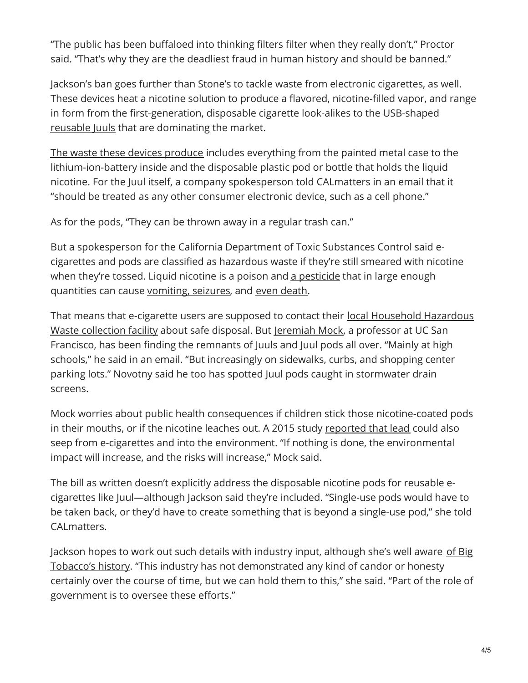"The public has been buffaloed into thinking filters filter when they really don't," Proctor said. "That's why they are the deadliest fraud in human history and should be banned."

Jackson's ban goes further than Stone's to tackle waste from electronic cigarettes, as well. These devices heat a nicotine solution to produce a flavored, nicotine-filled vapor, and range in form from the first-generation, disposable cigarette look-alikes to the USB-shaped [reusable](https://www.theverge.com/2018/11/21/18105969/juul-vaping-nicotine-salts-electronic-cigarettes-myblu-vuse-markten) Juuls that are dominating the market.

The waste these devices [produce](https://med.stanford.edu/content/dam/sm/tobaccopreventiontoolkit/documents/ecigarettes/E-cig factsheet.pdf) includes everything from the painted metal case to the lithium-ion-battery inside and the disposable plastic pod or bottle that holds the liquid nicotine. For the Juul itself, a company spokesperson told CALmatters in an email that it "should be treated as any other consumer electronic device, such as a cell phone."

As for the pods, "They can be thrown away in a regular trash can."

But a spokesperson for the California Department of Toxic Substances Control said ecigarettes and pods are classified as hazardous waste if they're still smeared with nicotine when they're tossed. Liquid nicotine is a poison and a [pesticide](https://www.acs.org/content/acs/en/pressroom/presspacs/2010/acs-presspac-october-27-2010/tobacco-and-its-evil-cousin-nicotine-are-good-as-a-pesticide.html) that in large enough quantities can cause [vomiting,](https://www.poison.org/articles/2013-jul/my-child-ate-a-cigarette) seizures, and even [death](https://www.cdc.gov/niosh/ershdb/EmergencyResponseCard_29750028.html).

That means that e-cigarette users are supposed to contact their local [Household](https://gcc01.safelinks.protection.outlook.com/?url=https%3A%2F%2Fwww.calrecycle.ca.gov%2FHomeHazWaste%2Fdirectory&data=02%7C01%7C%7Ccc65782bb32246aa871c08d6f5d10cc5%7C3f4ffbf4c7604c2abab8c63ef4bd2439%7C0%7C0%7C636966675545143316&sdata=ffOaao1Mwlt1l8CDvF12w7qQKR9VrOCw%2FP5dM3THdFQ%3D&reserved=0) Hazardous Waste collection facility about safe disposal. But [Jeremiah](https://profiles.ucsf.edu/jeremiah.mock) Mock, a professor at UC San Francisco, has been finding the remnants of Juuls and Juul pods all over. "Mainly at high schools," he said in an email. "But increasingly on sidewalks, curbs, and shopping center parking lots." Novotny said he too has spotted Juul pods caught in stormwater drain screens.

Mock worries about public health consequences if children stick those nicotine-coated pods in their mouths, or if the nicotine leaches out. A 2015 study [reported](https://www.sciencedirect.com/science/article/pii/S0956053X15000884?via%3Dihub) that lead could also seep from e-cigarettes and into the environment. "If nothing is done, the environmental impact will increase, and the risks will increase," Mock said.

The bill as written doesn't explicitly address the disposable nicotine pods for reusable ecigarettes like Juul—although Jackson said they're included. "Single-use pods would have to be taken back, or they'd have to create something that is beyond a single-use pod," she told CALmatters.

Jackson hopes to work out such details with industry input, although she's well aware of Big Tobacco's history. "This industry has not [demonstrated](https://www.nytimes.com/2017/11/24/opinion/cigarettes-tobacco-ads-smoking-death.html) any kind of candor or honesty certainly over the course of time, but we can hold them to this," she said. "Part of the role of government is to oversee these efforts."